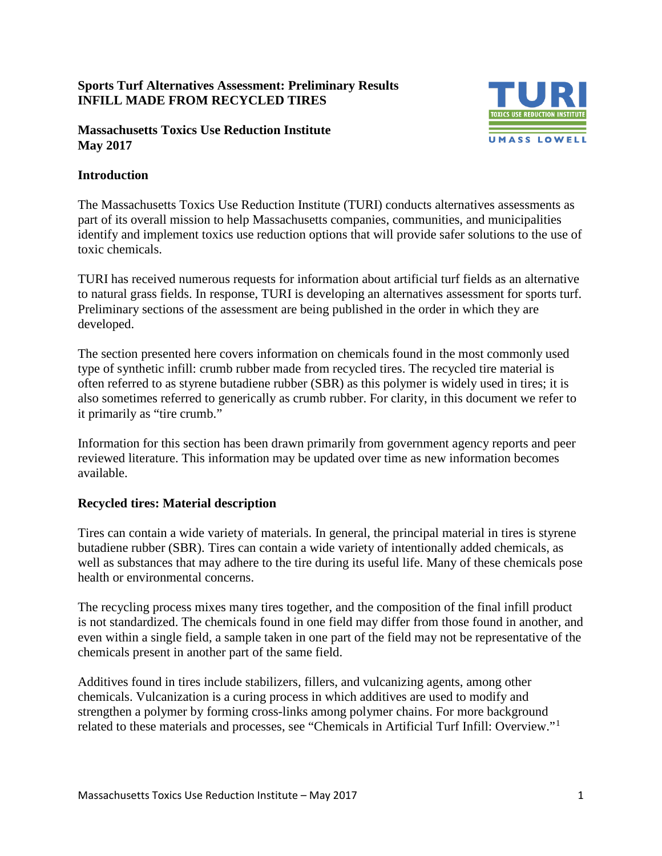### **Sports Turf Alternatives Assessment: Preliminary Results INFILL MADE FROM RECYCLED TIRES**

#### **Massachusetts Toxics Use Reduction Institute May 2017**



### **Introduction**

The Massachusetts Toxics Use Reduction Institute (TURI) conducts alternatives assessments as part of its overall mission to help Massachusetts companies, communities, and municipalities identify and implement toxics use reduction options that will provide safer solutions to the use of toxic chemicals.

TURI has received numerous requests for information about artificial turf fields as an alternative to natural grass fields. In response, TURI is developing an alternatives assessment for sports turf. Preliminary sections of the assessment are being published in the order in which they are developed.

The section presented here covers information on chemicals found in the most commonly used type of synthetic infill: crumb rubber made from recycled tires. The recycled tire material is often referred to as styrene butadiene rubber (SBR) as this polymer is widely used in tires; it is also sometimes referred to generically as crumb rubber. For clarity, in this document we refer to it primarily as "tire crumb."

Information for this section has been drawn primarily from government agency reports and peer reviewed literature. This information may be updated over time as new information becomes available.

### **Recycled tires: Material description**

Tires can contain a wide variety of materials. In general, the principal material in tires is styrene butadiene rubber (SBR). Tires can contain a wide variety of intentionally added chemicals, as well as substances that may adhere to the tire during its useful life. Many of these chemicals pose health or environmental concerns.

The recycling process mixes many tires together, and the composition of the final infill product is not standardized. The chemicals found in one field may differ from those found in another, and even within a single field, a sample taken in one part of the field may not be representative of the chemicals present in another part of the same field.

Additives found in tires include stabilizers, fillers, and vulcanizing agents, among other chemicals. Vulcanization is a curing process in which additives are used to modify and strengthen a polymer by forming cross-links among polymer chains. For more background related to these materials and processes, see "Chemicals in Artificial Turf Infill: Overview."[1](#page-5-0)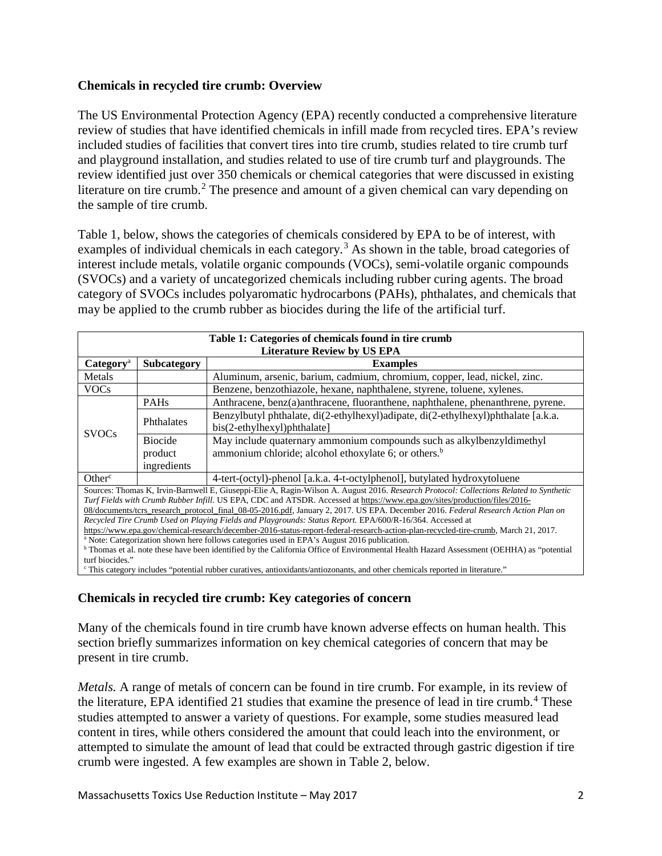### **Chemicals in recycled tire crumb: Overview**

The US Environmental Protection Agency (EPA) recently conducted a comprehensive literature review of studies that have identified chemicals in infill made from recycled tires. EPA's review included studies of facilities that convert tires into tire crumb, studies related to tire crumb turf and playground installation, and studies related to use of tire crumb turf and playgrounds. The review identified just over 350 chemicals or chemical categories that were discussed in existing literature on tire crumb.<sup>[2](#page-5-1)</sup> The presence and amount of a given chemical can vary depending on the sample of tire crumb.

Table 1, below, shows the categories of chemicals considered by EPA to be of interest, with examples of individual chemicals in each category.<sup>[3](#page-5-2)</sup> As shown in the table, broad categories of interest include metals, volatile organic compounds (VOCs), semi-volatile organic compounds (SVOCs) and a variety of uncategorized chemicals including rubber curing agents. The broad category of SVOCs includes polyaromatic hydrocarbons (PAHs), phthalates, and chemicals that may be applied to the crumb rubber as biocides during the life of the artificial turf.

| Table 1: Categories of chemicals found in tire crumb                                                                                                |                |                                                                                                                     |  |  |  |
|-----------------------------------------------------------------------------------------------------------------------------------------------------|----------------|---------------------------------------------------------------------------------------------------------------------|--|--|--|
| <b>Literature Review by US EPA</b>                                                                                                                  |                |                                                                                                                     |  |  |  |
| Categorical                                                                                                                                         | Subcategory    | <b>Examples</b>                                                                                                     |  |  |  |
| Metals                                                                                                                                              |                | Aluminum, arsenic, barium, cadmium, chromium, copper, lead, nickel, zinc.                                           |  |  |  |
| <b>VOCs</b>                                                                                                                                         |                | Benzene, benzothiazole, hexane, naphthalene, styrene, toluene, xylenes.                                             |  |  |  |
| <b>SVOCs</b>                                                                                                                                        | <b>PAHs</b>    | Anthracene, benz(a)anthracene, fluoranthene, naphthalene, phenanthrene, pyrene.                                     |  |  |  |
|                                                                                                                                                     | Phthalates     | Benzylbutyl phthalate, di(2-ethylhexyl)adipate, di(2-ethylhexyl)phthalate [a.k.a.<br>$bis(2-ethylhexyl)$ phthalate] |  |  |  |
|                                                                                                                                                     | <b>Biocide</b> | May include quaternary ammonium compounds such as alkylbenzyldimethyl                                               |  |  |  |
|                                                                                                                                                     | product        | ammonium chloride; alcohol ethoxylate 6; or others. <sup>b</sup>                                                    |  |  |  |
|                                                                                                                                                     | ingredients    |                                                                                                                     |  |  |  |
| Other <sup>c</sup>                                                                                                                                  |                | 4-tert-(octyl)-phenol [a.k.a. 4-t-octylphenol], butylated hydroxytoluene                                            |  |  |  |
| Sources: Thomas K, Irvin-Barnwell E, Giuseppi-Elie A, Ragin-Wilson A. August 2016. Research Protocol: Collections Related to Synthetic              |                |                                                                                                                     |  |  |  |
| Turf Fields with Crumb Rubber Infill. US EPA, CDC and ATSDR. Accessed at https://www.epa.gov/sites/production/files/2016-                           |                |                                                                                                                     |  |  |  |
| 08/documents/tcrs_research_protocol_final_08-05-2016.pdf, January 2, 2017. US EPA. December 2016. Federal Research Action Plan on                   |                |                                                                                                                     |  |  |  |
| Recycled Tire Crumb Used on Playing Fields and Playgrounds: Status Report. EPA/600/R-16/364. Accessed at                                            |                |                                                                                                                     |  |  |  |
| https://www.epa.gov/chemical-research/december-2016-status-report-federal-research-action-plan-recycled-tire-crumb, March 21, 2017.                 |                |                                                                                                                     |  |  |  |
| <sup>a</sup> Note: Categorization shown here follows categories used in EPA's August 2016 publication.                                              |                |                                                                                                                     |  |  |  |
| <sup>b</sup> Thomas et al. note these have been identified by the California Office of Environmental Health Hazard Assessment (OEHHA) as "potential |                |                                                                                                                     |  |  |  |
| turf biocides."                                                                                                                                     |                |                                                                                                                     |  |  |  |
| "This category includes "potential rubber curatives, antioxidants/antiozonants, and other chemicals reported in literature."                        |                |                                                                                                                     |  |  |  |

# **Chemicals in recycled tire crumb: Key categories of concern**

Many of the chemicals found in tire crumb have known adverse effects on human health. This section briefly summarizes information on key chemical categories of concern that may be present in tire crumb.

*Metals.* A range of metals of concern can be found in tire crumb. For example, in its review of the literature, EPA identified 21 studies that examine the presence of lead in tire crumb.<sup>[4](#page-5-3)</sup> These studies attempted to answer a variety of questions. For example, some studies measured lead content in tires, while others considered the amount that could leach into the environment, or attempted to simulate the amount of lead that could be extracted through gastric digestion if tire crumb were ingested. A few examples are shown in Table 2, below.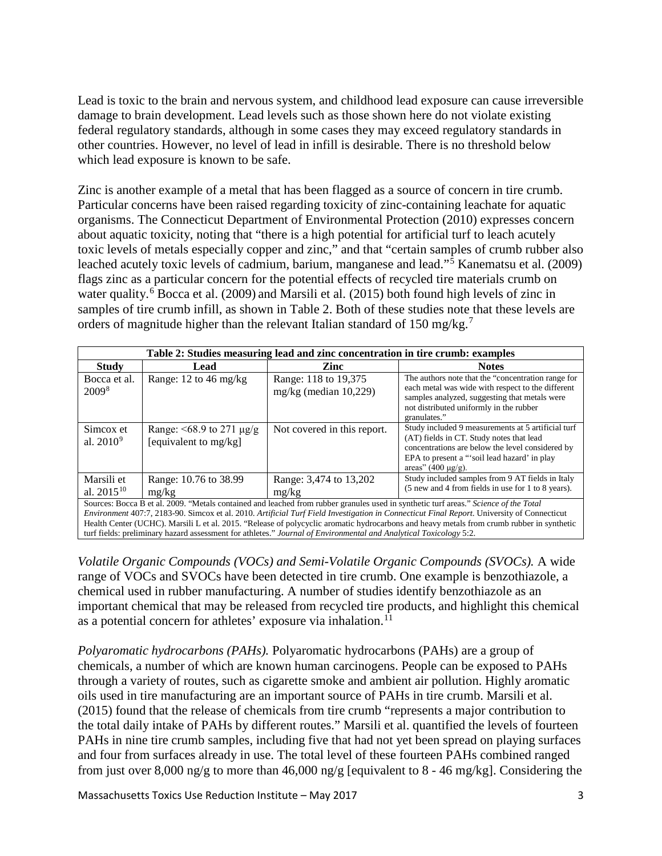Lead is toxic to the brain and nervous system, and childhood lead exposure can cause irreversible damage to brain development. Lead levels such as those shown here do not violate existing federal regulatory standards, although in some cases they may exceed regulatory standards in other countries. However, no level of lead in infill is desirable. There is no threshold below which lead exposure is known to be safe.

Zinc is another example of a metal that has been flagged as a source of concern in tire crumb. Particular concerns have been raised regarding toxicity of zinc-containing leachate for aquatic organisms. The Connecticut Department of Environmental Protection (2010) expresses concern about aquatic toxicity, noting that "there is a high potential for artificial turf to leach acutely toxic levels of metals especially copper and zinc," and that "certain samples of crumb rubber also leached acutely toxic levels of cadmium, barium, manganese and lead."<sup>[5](#page-5-4)</sup> Kanematsu et al. (2009) flags zinc as a particular concern for the potential effects of recycled tire materials crumb on water quality.<sup>[6](#page-5-5)</sup> Bocca et al. (2009) and Marsili et al. (2015) both found high levels of zinc in samples of tire crumb infill, as shown in Table 2. Both of these studies note that these levels are orders of magnitude higher than the relevant Italian standard of 150 mg/kg.<sup>[7](#page-5-6)</sup>

| Table 2: Studies measuring lead and zinc concentration in tire crumb: examples                                                                                                                                                                                                                    |                                                              |                                                  |                                                                                                                                                                                                                               |  |  |
|---------------------------------------------------------------------------------------------------------------------------------------------------------------------------------------------------------------------------------------------------------------------------------------------------|--------------------------------------------------------------|--------------------------------------------------|-------------------------------------------------------------------------------------------------------------------------------------------------------------------------------------------------------------------------------|--|--|
| <b>Study</b>                                                                                                                                                                                                                                                                                      | Lead                                                         | Zinc                                             | <b>Notes</b>                                                                                                                                                                                                                  |  |  |
| Bocca et al.<br>2009 <sup>8</sup>                                                                                                                                                                                                                                                                 | Range: 12 to 46 mg/kg                                        | Range: 118 to 19,375<br>mg/kg (median $10,229$ ) | The authors note that the "concentration range for<br>each metal was wide with respect to the different<br>samples analyzed, suggesting that metals were<br>not distributed uniformly in the rubber<br>granulates."           |  |  |
| Simcox et<br>al. $2010^9$                                                                                                                                                                                                                                                                         | Range: $\leq 68.9$ to 271 $\mu$ g/g<br>[equivalent to mg/kg] | Not covered in this report.                      | Study included 9 measurements at 5 artificial turf<br>(AT) fields in CT. Study notes that lead<br>concentrations are below the level considered by<br>EPA to present a "soil lead hazard' in play<br>areas" $(400 \mu g/g)$ . |  |  |
| Marsili et<br>al. $2015^{10}$                                                                                                                                                                                                                                                                     | Range: 10.76 to 38.99<br>mg/kg                               | Range: 3,474 to 13,202<br>mg/kg                  | Study included samples from 9 AT fields in Italy<br>(5 new and 4 from fields in use for 1 to 8 years).                                                                                                                        |  |  |
| Sources: Bocca B et al. 2009. "Metals contained and leached from rubber granules used in synthetic turf areas." Science of the Total<br><i>Environment</i> 407:7, 2183-90. Simcox et al. 2010. <i>Artificial Turf Field Investigation in Connecticut Final Report</i> . University of Connecticut |                                                              |                                                  |                                                                                                                                                                                                                               |  |  |

*Environment* 407:7, 2183-90. Simcox et al. 2010. *Artificial Turf Field Investigation in Connecticut Final Report*. University of Connecticut Health Center (UCHC). Marsili L et al. 2015. "Release of polycyclic aromatic hydrocarbons and heavy metals from crumb rubber in synthetic turf fields: preliminary hazard assessment for athletes." *Journal of Environmental and Analytical Toxicology* 5:2.

*Volatile Organic Compounds (VOCs) and Semi-Volatile Organic Compounds (SVOCs).* A wide range of VOCs and SVOCs have been detected in tire crumb. One example is benzothiazole, a chemical used in rubber manufacturing. A number of studies identify benzothiazole as an important chemical that may be released from recycled tire products, and highlight this chemical as a potential concern for athletes' exposure via inhalation.<sup>[11](#page-5-10)</sup>

*Polyaromatic hydrocarbons (PAHs).* Polyaromatic hydrocarbons (PAHs) are a group of chemicals, a number of which are known human carcinogens. People can be exposed to PAHs through a variety of routes, such as cigarette smoke and ambient air pollution. Highly aromatic oils used in tire manufacturing are an important source of PAHs in tire crumb. Marsili et al. (2015) found that the release of chemicals from tire crumb "represents a major contribution to the total daily intake of PAHs by different routes." Marsili et al. quantified the levels of fourteen PAHs in nine tire crumb samples, including five that had not yet been spread on playing surfaces and four from surfaces already in use. The total level of these fourteen PAHs combined ranged from just over 8,000 ng/g to more than 46,000 ng/g [equivalent to 8 - 46 mg/kg]. Considering the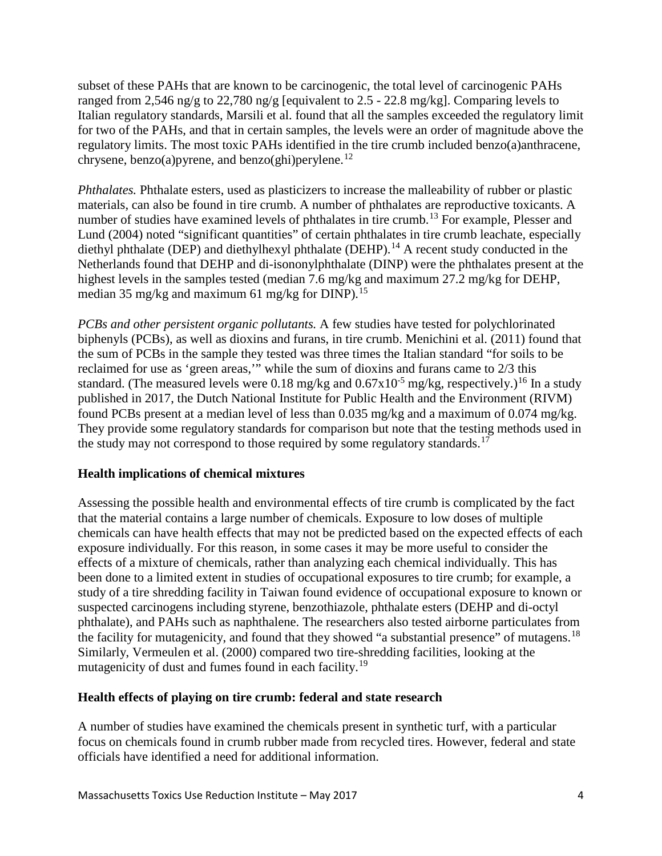subset of these PAHs that are known to be carcinogenic, the total level of carcinogenic PAHs ranged from 2,546 ng/g to 22,780 ng/g [equivalent to 2.5 - 22.8 mg/kg]. Comparing levels to Italian regulatory standards, Marsili et al. found that all the samples exceeded the regulatory limit for two of the PAHs, and that in certain samples, the levels were an order of magnitude above the regulatory limits. The most toxic PAHs identified in the tire crumb included benzo(a)anthracene, chrysene, benzo(a)pyrene, and benzo(ghi)perylene.<sup>[12](#page-5-11)</sup>

*Phthalates.* Phthalate esters, used as plasticizers to increase the malleability of rubber or plastic materials, can also be found in tire crumb. A number of phthalates are reproductive toxicants. A number of studies have examined levels of phthalates in tire crumb.<sup>[13](#page-5-12)</sup> For example, Plesser and Lund (2004) noted "significant quantities" of certain phthalates in tire crumb leachate, especially diethyl phthalate (DEP) and diethylhexyl phthalate (DEHP).<sup>[14](#page-6-0)</sup> A recent study conducted in the Netherlands found that DEHP and di-isononylphthalate (DINP) were the phthalates present at the highest levels in the samples tested (median 7.6 mg/kg and maximum 27.2 mg/kg for DEHP, median 35 mg/kg and maximum 61 mg/kg for DINP).<sup>[15](#page-6-1)</sup>

*PCBs and other persistent organic pollutants.* A few studies have tested for polychlorinated biphenyls (PCBs), as well as dioxins and furans, in tire crumb. Menichini et al. (2011) found that the sum of PCBs in the sample they tested was three times the Italian standard "for soils to be reclaimed for use as 'green areas,'" while the sum of dioxins and furans came to 2/3 this standard. (The measured levels were 0.18 mg/kg and  $0.67x10^{-5}$  mg/kg, respectively.)<sup>[16](#page-6-2)</sup> In a study published in 2017, the Dutch National Institute for Public Health and the Environment (RIVM) found PCBs present at a median level of less than 0.035 mg/kg and a maximum of 0.074 mg/kg. They provide some regulatory standards for comparison but note that the testing methods used in the study may not correspond to those required by some regulatory standards.<sup>[17](#page-6-3)</sup>

# **Health implications of chemical mixtures**

Assessing the possible health and environmental effects of tire crumb is complicated by the fact that the material contains a large number of chemicals. Exposure to low doses of multiple chemicals can have health effects that may not be predicted based on the expected effects of each exposure individually. For this reason, in some cases it may be more useful to consider the effects of a mixture of chemicals, rather than analyzing each chemical individually. This has been done to a limited extent in studies of occupational exposures to tire crumb; for example, a study of a tire shredding facility in Taiwan found evidence of occupational exposure to known or suspected carcinogens including styrene, benzothiazole, phthalate esters (DEHP and di-octyl phthalate), and PAHs such as naphthalene. The researchers also tested airborne particulates from the facility for mutagenicity, and found that they showed "a substantial presence" of mutagens.<sup>[18](#page-6-4)</sup> Similarly, Vermeulen et al. (2000) compared two tire-shredding facilities, looking at the mutagenicity of dust and fumes found in each facility.<sup>[19](#page-6-5)</sup>

# **Health effects of playing on tire crumb: federal and state research**

A number of studies have examined the chemicals present in synthetic turf, with a particular focus on chemicals found in crumb rubber made from recycled tires. However, federal and state officials have identified a need for additional information.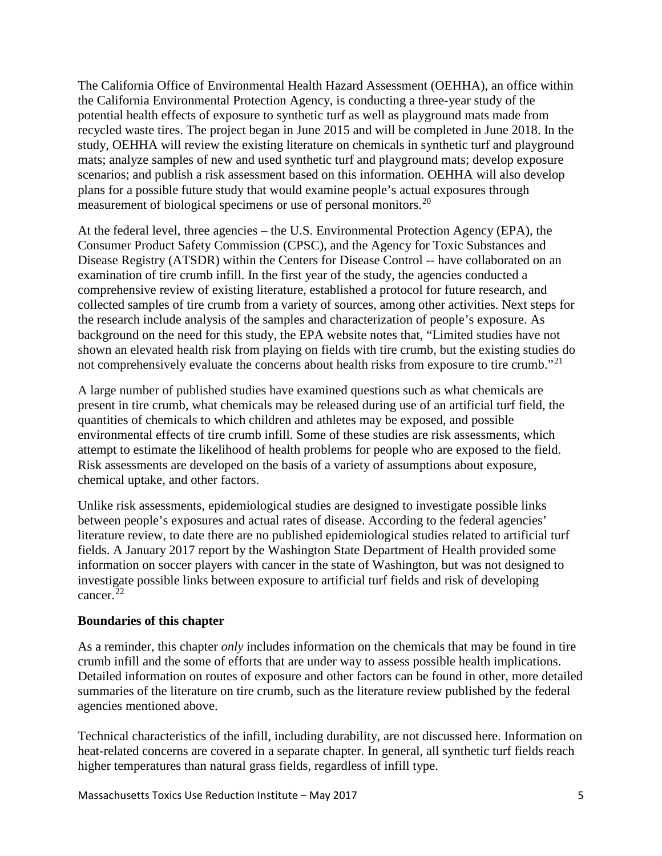The California Office of Environmental Health Hazard Assessment (OEHHA), an office within the California Environmental Protection Agency, is conducting a three-year study of the potential health effects of exposure to synthetic turf as well as playground mats made from recycled waste tires. The project began in June 2015 and will be completed in June 2018. In the study, OEHHA will review the existing literature on chemicals in synthetic turf and playground mats; analyze samples of new and used synthetic turf and playground mats; develop exposure scenarios; and publish a risk assessment based on this information. OEHHA will also develop plans for a possible future study that would examine people's actual exposures through measurement of biological specimens or use of personal monitors.<sup>[20](#page-6-6)</sup>

At the federal level, three agencies – the U.S. Environmental Protection Agency (EPA), the Consumer Product Safety Commission (CPSC), and the Agency for Toxic Substances and Disease Registry (ATSDR) within the Centers for Disease Control -- have collaborated on an examination of tire crumb infill. In the first year of the study, the agencies conducted a comprehensive review of existing literature, established a protocol for future research, and collected samples of tire crumb from a variety of sources, among other activities. Next steps for the research include analysis of the samples and characterization of people's exposure. As background on the need for this study, the EPA website notes that, "Limited studies have not shown an elevated health risk from playing on fields with tire crumb, but the existing studies do not comprehensively evaluate the concerns about health risks from exposure to tire crumb."<sup>[21](#page-6-7)</sup>

A large number of published studies have examined questions such as what chemicals are present in tire crumb, what chemicals may be released during use of an artificial turf field, the quantities of chemicals to which children and athletes may be exposed, and possible environmental effects of tire crumb infill. Some of these studies are risk assessments, which attempt to estimate the likelihood of health problems for people who are exposed to the field. Risk assessments are developed on the basis of a variety of assumptions about exposure, chemical uptake, and other factors.

Unlike risk assessments, epidemiological studies are designed to investigate possible links between people's exposures and actual rates of disease. According to the federal agencies' literature review, to date there are no published epidemiological studies related to artificial turf fields. A January 2017 report by the Washington State Department of Health provided some information on soccer players with cancer in the state of Washington, but was not designed to investigate possible links between exposure to artificial turf fields and risk of developing cancer<sup>[22](#page-6-8)</sup>

### **Boundaries of this chapter**

As a reminder, this chapter *only* includes information on the chemicals that may be found in tire crumb infill and the some of efforts that are under way to assess possible health implications. Detailed information on routes of exposure and other factors can be found in other, more detailed summaries of the literature on tire crumb, such as the literature review published by the federal agencies mentioned above.

Technical characteristics of the infill, including durability, are not discussed here. Information on heat-related concerns are covered in a separate chapter. In general, all synthetic turf fields reach higher temperatures than natural grass fields, regardless of infill type.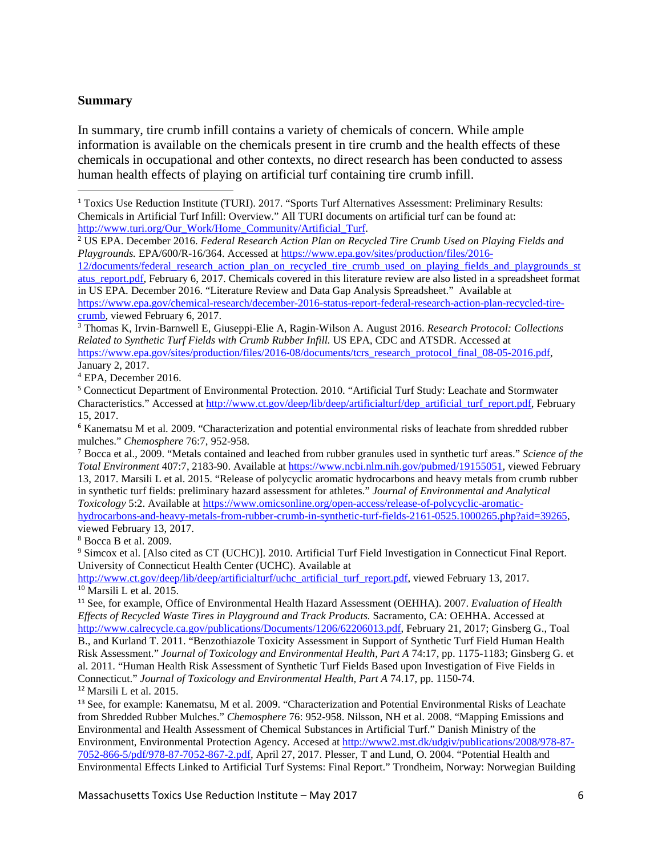#### **Summary**

l

In summary, tire crumb infill contains a variety of chemicals of concern. While ample information is available on the chemicals present in tire crumb and the health effects of these chemicals in occupational and other contexts, no direct research has been conducted to assess human health effects of playing on artificial turf containing tire crumb infill.

<span id="page-5-2"></span><sup>3</sup> Thomas K, Irvin-Barnwell E, Giuseppi-Elie A, Ragin-Wilson A. August 2016. *Research Protocol: Collections Related to Synthetic Turf Fields with Crumb Rubber Infill.* US EPA, CDC and ATSDR. Accessed at [https://www.epa.gov/sites/production/files/2016-08/documents/tcrs\\_research\\_protocol\\_final\\_08-05-2016.pdf,](https://www.epa.gov/sites/production/files/2016-08/documents/tcrs_research_protocol_final_08-05-2016.pdf)

January 2, 2017. <sup>4</sup> EPA, December 2016.

<span id="page-5-4"></span><span id="page-5-3"></span><sup>5</sup> Connecticut Department of Environmental Protection. 2010. "Artificial Turf Study: Leachate and Stormwater Characteristics." Accessed at [http://www.ct.gov/deep/lib/deep/artificialturf/dep\\_artificial\\_turf\\_report.pdf,](http://www.ct.gov/deep/lib/deep/artificialturf/dep_artificial_turf_report.pdf) February 15, 2017.

<span id="page-5-5"></span><sup>6</sup> Kanematsu M et al. 2009. "Characterization and potential environmental risks of leachate from shredded rubber mulches." *Chemosphere* 76:7, 952-958.<br><sup>7</sup> Bocca et al., 2009. "Metals contained and leached from rubber granules used in synthetic turf areas." *Science of the* 

<span id="page-5-6"></span>*Total Environment* 407:7, 2183-90. Available at [https://www.ncbi.nlm.nih.gov/pubmed/19155051,](https://www.ncbi.nlm.nih.gov/pubmed/19155051) viewed February 13, 2017. Marsili L et al. 2015. "Release of polycyclic aromatic hydrocarbons and heavy metals from crumb rubber in synthetic turf fields: preliminary hazard assessment for athletes." *Journal of Environmental and Analytical Toxicology* 5:2. Available at [https://www.omicsonline.org/open-access/release-of-polycyclic-aromatic-](https://www.omicsonline.org/open-access/release-of-polycyclic-aromatic-hydrocarbons-and-heavy-metals-from-rubber-crumb-in-synthetic-turf-fields-2161-0525.1000265.php?aid=39265)

[hydrocarbons-and-heavy-metals-from-rubber-crumb-in-synthetic-turf-fields-2161-0525.1000265.php?aid=39265,](https://www.omicsonline.org/open-access/release-of-polycyclic-aromatic-hydrocarbons-and-heavy-metals-from-rubber-crumb-in-synthetic-turf-fields-2161-0525.1000265.php?aid=39265) viewed February 13, 2017.

<span id="page-5-7"></span><sup>8</sup> Bocca B et al. 2009.

<span id="page-5-8"></span><sup>9</sup> Simcox et al. [Also cited as CT (UCHC)]. 2010. Artificial Turf Field Investigation in Connecticut Final Report. University of Connecticut Health Center (UCHC). Available at

<span id="page-5-9"></span>[http://www.ct.gov/deep/lib/deep/artificialturf/uchc\\_artificial\\_turf\\_report.pdf,](http://www.ct.gov/deep/lib/deep/artificialturf/uchc_artificial_turf_report.pdf) viewed February 13, 2017.  $10$  Marsili L et al. 2015.

<span id="page-5-10"></span><sup>11</sup> See, for example, Office of Environmental Health Hazard Assessment (OEHHA). 2007. *Evaluation of Health Effects of Recycled Waste Tires in Playground and Track Products.* Sacramento, CA: OEHHA. Accessed at [http://www.calrecycle.ca.gov/publications/Documents/1206/62206013.pdf,](http://www.calrecycle.ca.gov/publications/Documents/1206/62206013.pdf) February 21, 2017; Ginsberg G., Toal B., and Kurland T. 2011. "Benzothiazole Toxicity Assessment in Support of Synthetic Turf Field Human Health Risk Assessment." *Journal of Toxicology and Environmental Health, Part A* 74:17, pp. 1175-1183; Ginsberg G. et al. 2011. "Human Health Risk Assessment of Synthetic Turf Fields Based upon Investigation of Five Fields in Connecticut." *Journal of Toxicology and Environmental Health, Part A* 74.17, pp. 1150-74. <sup>12</sup> Marsili L et al. 2015.

<span id="page-5-12"></span><span id="page-5-11"></span><sup>13</sup> See, for example: Kanematsu, M et al. 2009. "Characterization and Potential Environmental Risks of Leachate from Shredded Rubber Mulches." *Chemosphere* 76: 952-958. Nilsson, NH et al. 2008. "Mapping Emissions and Environmental and Health Assessment of Chemical Substances in Artificial Turf." Danish Ministry of the Environment, Environmental Protection Agency. Accesed at [http://www2.mst.dk/udgiv/publications/2008/978-87-](http://www2.mst.dk/udgiv/publications/2008/978-87-7052-866-5/pdf/978-87-7052-867-2.pdf) [7052-866-5/pdf/978-87-7052-867-2.pdf,](http://www2.mst.dk/udgiv/publications/2008/978-87-7052-866-5/pdf/978-87-7052-867-2.pdf) April 27, 2017. Plesser, T and Lund, O. 2004. "Potential Health and Environmental Effects Linked to Artificial Turf Systems: Final Report." Trondheim, Norway: Norwegian Building

<span id="page-5-0"></span><sup>1</sup> Toxics Use Reduction Institute (TURI). 2017. "Sports Turf Alternatives Assessment: Preliminary Results: Chemicals in Artificial Turf Infill: Overview." All TURI documents on artificial turf can be found at: [http://www.turi.org/Our\\_Work/Home\\_Community/Artificial\\_Turf.](http://www.turi.org/Our_Work/Home_Community/Artificial_Turf)

<span id="page-5-1"></span><sup>2</sup> US EPA. December 2016. *Federal Research Action Plan on Recycled Tire Crumb Used on Playing Fields and Playgrounds.* EPA/600/R-16/364. Accessed at [https://www.epa.gov/sites/production/files/2016-](https://www.epa.gov/sites/production/files/2016-12/documents/federal_research_action_plan_on_recycled_tire_crumb_used_on_playing_fields_and_playgrounds_status_report.pdf)

[<sup>12/</sup>documents/federal\\_research\\_action\\_plan\\_on\\_recycled\\_tire\\_crumb\\_used\\_on\\_playing\\_fields\\_and\\_playgrounds\\_st](https://www.epa.gov/sites/production/files/2016-12/documents/federal_research_action_plan_on_recycled_tire_crumb_used_on_playing_fields_and_playgrounds_status_report.pdf) atus report.pdf, February 6, 2017. Chemicals covered in this literature review are also listed in a spreadsheet format in US EPA. December 2016. "Literature Review and Data Gap Analysis Spreadsheet." Available at [https://www.epa.gov/chemical-research/december-2016-status-report-federal-research-action-plan-recycled-tire](https://www.epa.gov/chemical-research/december-2016-status-report-federal-research-action-plan-recycled-tire-crumb)[crumb,](https://www.epa.gov/chemical-research/december-2016-status-report-federal-research-action-plan-recycled-tire-crumb) viewed February 6, 2017.